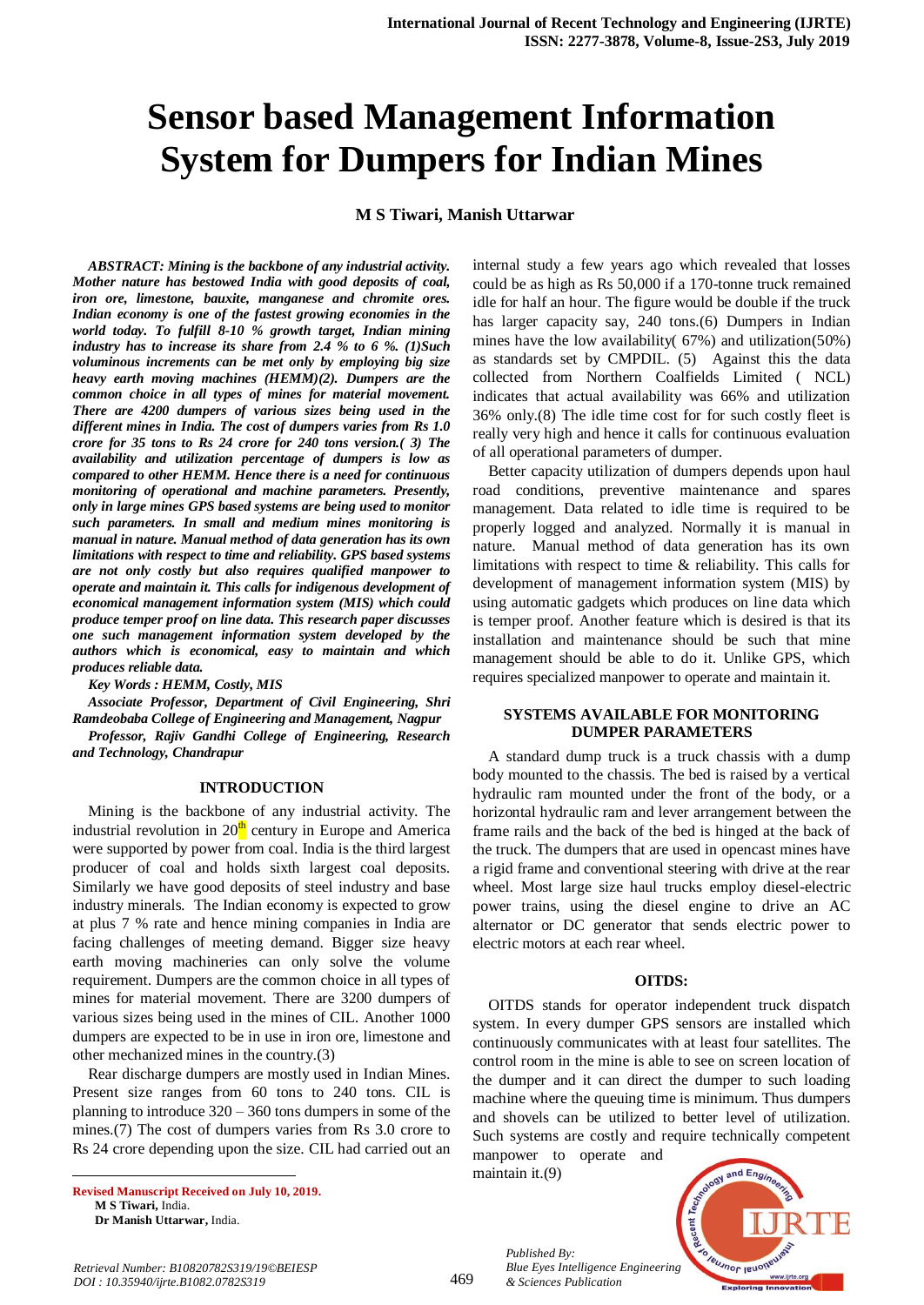# **Sensor based Management Information System for Dumpers for Indian Mines**

# **M S Tiwari, Manish Uttarwar**

*ABSTRACT: Mining is the backbone of any industrial activity. Mother nature has bestowed India with good deposits of coal, iron ore, limestone, bauxite, manganese and chromite ores. Indian economy is one of the fastest growing economies in the world today. To fulfill 8-10 % growth target, Indian mining industry has to increase its share from 2.4 % to 6 %. (1)Such voluminous increments can be met only by employing big size heavy earth moving machines (HEMM)(2). Dumpers are the common choice in all types of mines for material movement. There are 4200 dumpers of various sizes being used in the different mines in India. The cost of dumpers varies from Rs 1.0 crore for 35 tons to Rs 24 crore for 240 tons version.( 3) The availability and utilization percentage of dumpers is low as compared to other HEMM. Hence there is a need for continuous monitoring of operational and machine parameters. Presently, only in large mines GPS based systems are being used to monitor such parameters. In small and medium mines monitoring is manual in nature. Manual method of data generation has its own limitations with respect to time and reliability. GPS based systems are not only costly but also requires qualified manpower to operate and maintain it. This calls for indigenous development of economical management information system (MIS) which could produce temper proof on line data. This research paper discusses one such management information system developed by the authors which is economical, easy to maintain and which produces reliable data.*

#### *Key Words : HEMM, Costly, MIS*

*Associate Professor, Department of Civil Engineering, Shri Ramdeobaba College of Engineering and Management, Nagpur Professor, Rajiv Gandhi College of Engineering, Research and Technology, Chandrapur*

#### **INTRODUCTION**

Mining is the backbone of any industrial activity. The industrial revolution in  $20<sup>th</sup>$  century in Europe and America were supported by power from coal. India is the third largest producer of coal and holds sixth largest coal deposits. Similarly we have good deposits of steel industry and base industry minerals. The Indian economy is expected to grow at plus 7 % rate and hence mining companies in India are facing challenges of meeting demand. Bigger size heavy earth moving machineries can only solve the volume requirement. Dumpers are the common choice in all types of mines for material movement. There are 3200 dumpers of various sizes being used in the mines of CIL. Another 1000 dumpers are expected to be in use in iron ore, limestone and other mechanized mines in the country.(3)

Rear discharge dumpers are mostly used in Indian Mines. Present size ranges from 60 tons to 240 tons. CIL is planning to introduce 320 – 360 tons dumpers in some of the mines.(7) The cost of dumpers varies from Rs 3.0 crore to Rs 24 crore depending upon the size. CIL had carried out an

**Revised Manuscript Received on July 10, 2019. M S Tiwari,** India. **Dr Manish Uttarwar,** India.

1

internal study a few years ago which revealed that losses could be as high as Rs 50,000 if a 170-tonne truck remained idle for half an hour. The figure would be double if the truck has larger capacity say, 240 tons.(6) Dumpers in Indian mines have the low availability( 67%) and utilization(50%) as standards set by CMPDIL. (5) Against this the data collected from Northern Coalfields Limited ( NCL) indicates that actual availability was 66% and utilization 36% only.(8) The idle time cost for for such costly fleet is really very high and hence it calls for continuous evaluation of all operational parameters of dumper.

Better capacity utilization of dumpers depends upon haul road conditions, preventive maintenance and spares management. Data related to idle time is required to be properly logged and analyzed. Normally it is manual in nature. Manual method of data generation has its own limitations with respect to time & reliability. This calls for development of management information system (MIS) by using automatic gadgets which produces on line data which is temper proof. Another feature which is desired is that its installation and maintenance should be such that mine management should be able to do it. Unlike GPS, which requires specialized manpower to operate and maintain it.

#### **SYSTEMS AVAILABLE FOR MONITORING DUMPER PARAMETERS**

A standard dump truck is a truck chassis with a dump body mounted to the chassis. The bed is raised by a vertical hydraulic ram mounted under the front of the body, or a horizontal hydraulic ram and lever arrangement between the frame rails and the back of the bed is hinged at the back of the truck. The dumpers that are used in opencast mines have a rigid frame and conventional steering with drive at the rear wheel. Most large size haul trucks employ diesel-electric power trains, using the diesel engine to drive an AC alternator or DC generator that sends electric power to electric motors at each rear wheel.

#### **OITDS:**

OITDS stands for operator independent truck dispatch system. In every dumper GPS sensors are installed which continuously communicates with at least four satellites. The control room in the mine is able to see on screen location of the dumper and it can direct the dumper to such loading machine where the queuing time is minimum. Thus dumpers and shovels can be utilized to better level of utilization. Such systems are costly and require technically competent

manpower to operate and maintain it.(9)

*& Sciences Publication* 

*Published By:*



*Retrieval Number: B10820782S319/19©BEIESP DOI : 10.35940/ijrte.B1082.0782S319*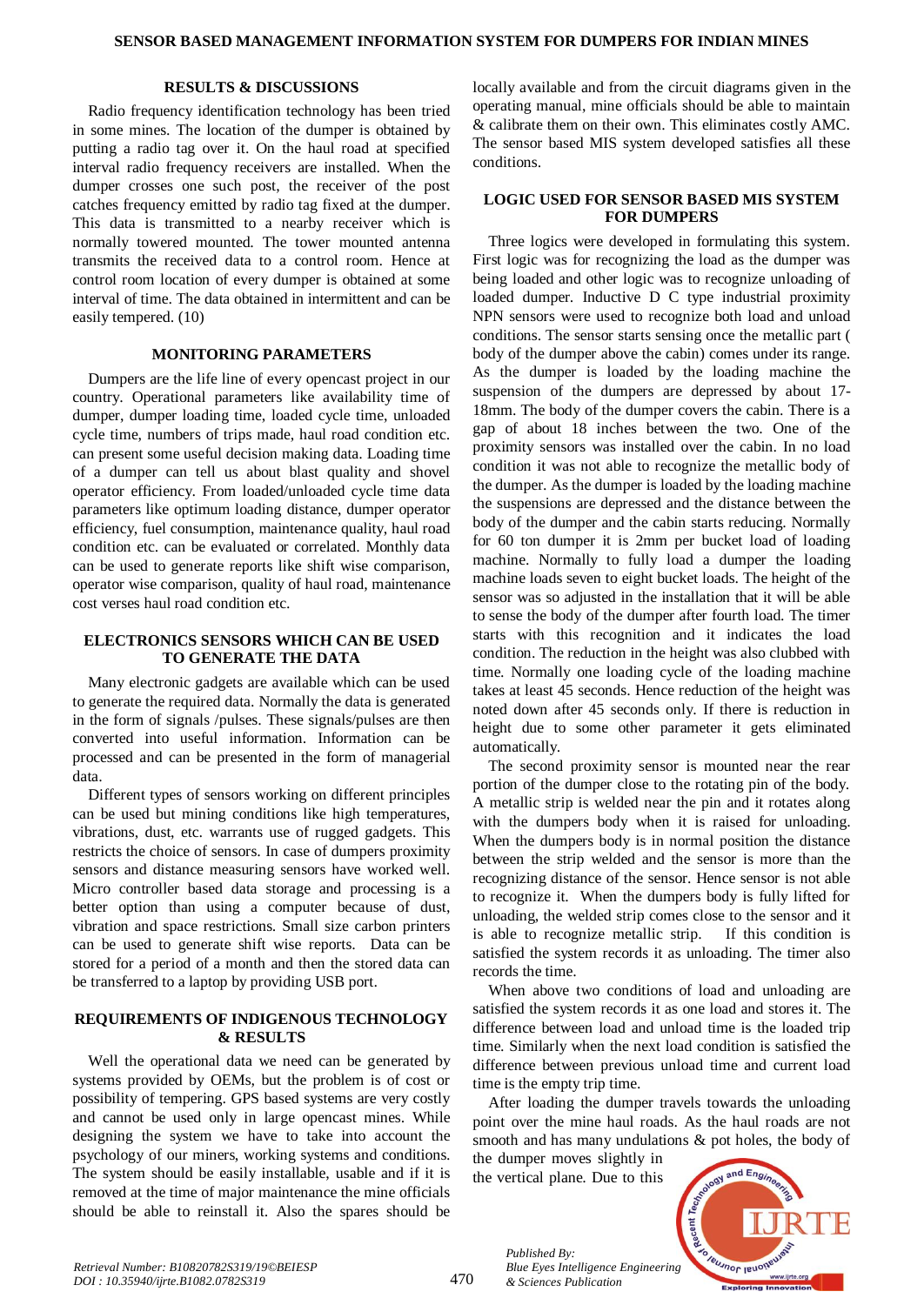#### **RESULTS & DISCUSSIONS**

Radio frequency identification technology has been tried in some mines. The location of the dumper is obtained by putting a radio tag over it. On the haul road at specified interval radio frequency receivers are installed. When the dumper crosses one such post, the receiver of the post catches frequency emitted by radio tag fixed at the dumper. This data is transmitted to a nearby receiver which is normally towered mounted. The tower mounted antenna transmits the received data to a control room. Hence at control room location of every dumper is obtained at some interval of time. The data obtained in intermittent and can be easily tempered. (10)

## **MONITORING PARAMETERS**

Dumpers are the life line of every opencast project in our country. Operational parameters like availability time of dumper, dumper loading time, loaded cycle time, unloaded cycle time, numbers of trips made, haul road condition etc. can present some useful decision making data. Loading time of a dumper can tell us about blast quality and shovel operator efficiency. From loaded/unloaded cycle time data parameters like optimum loading distance, dumper operator efficiency, fuel consumption, maintenance quality, haul road condition etc. can be evaluated or correlated. Monthly data can be used to generate reports like shift wise comparison, operator wise comparison, quality of haul road, maintenance cost verses haul road condition etc.

# **ELECTRONICS SENSORS WHICH CAN BE USED TO GENERATE THE DATA**

Many electronic gadgets are available which can be used to generate the required data. Normally the data is generated in the form of signals /pulses. These signals/pulses are then converted into useful information. Information can be processed and can be presented in the form of managerial data.

Different types of sensors working on different principles can be used but mining conditions like high temperatures, vibrations, dust, etc. warrants use of rugged gadgets. This restricts the choice of sensors. In case of dumpers proximity sensors and distance measuring sensors have worked well. Micro controller based data storage and processing is a better option than using a computer because of dust, vibration and space restrictions. Small size carbon printers can be used to generate shift wise reports. Data can be stored for a period of a month and then the stored data can be transferred to a laptop by providing USB port.

### **REQUIREMENTS OF INDIGENOUS TECHNOLOGY & RESULTS**

Well the operational data we need can be generated by systems provided by OEMs, but the problem is of cost or possibility of tempering. GPS based systems are very costly and cannot be used only in large opencast mines. While designing the system we have to take into account the psychology of our miners, working systems and conditions. The system should be easily installable, usable and if it is removed at the time of major maintenance the mine officials should be able to reinstall it. Also the spares should be locally available and from the circuit diagrams given in the operating manual, mine officials should be able to maintain & calibrate them on their own. This eliminates costly AMC. The sensor based MIS system developed satisfies all these conditions.

# **LOGIC USED FOR SENSOR BASED MIS SYSTEM FOR DUMPERS**

Three logics were developed in formulating this system. First logic was for recognizing the load as the dumper was being loaded and other logic was to recognize unloading of loaded dumper. Inductive D C type industrial proximity NPN sensors were used to recognize both load and unload conditions. The sensor starts sensing once the metallic part ( body of the dumper above the cabin) comes under its range. As the dumper is loaded by the loading machine the suspension of the dumpers are depressed by about 17- 18mm. The body of the dumper covers the cabin. There is a gap of about 18 inches between the two. One of the proximity sensors was installed over the cabin. In no load condition it was not able to recognize the metallic body of the dumper. As the dumper is loaded by the loading machine the suspensions are depressed and the distance between the body of the dumper and the cabin starts reducing. Normally for 60 ton dumper it is 2mm per bucket load of loading machine. Normally to fully load a dumper the loading machine loads seven to eight bucket loads. The height of the sensor was so adjusted in the installation that it will be able to sense the body of the dumper after fourth load. The timer starts with this recognition and it indicates the load condition. The reduction in the height was also clubbed with time. Normally one loading cycle of the loading machine takes at least 45 seconds. Hence reduction of the height was noted down after 45 seconds only. If there is reduction in height due to some other parameter it gets eliminated automatically.

The second proximity sensor is mounted near the rear portion of the dumper close to the rotating pin of the body. A metallic strip is welded near the pin and it rotates along with the dumpers body when it is raised for unloading. When the dumpers body is in normal position the distance between the strip welded and the sensor is more than the recognizing distance of the sensor. Hence sensor is not able to recognize it. When the dumpers body is fully lifted for unloading, the welded strip comes close to the sensor and it is able to recognize metallic strip. If this condition is satisfied the system records it as unloading. The timer also records the time.

When above two conditions of load and unloading are satisfied the system records it as one load and stores it. The difference between load and unload time is the loaded trip time. Similarly when the next load condition is satisfied the difference between previous unload time and current load time is the empty trip time.

After loading the dumper travels towards the unloading point over the mine haul roads. As the haul roads are not smooth and has many undulations & pot holes, the body of

the dumper moves slightly in the vertical plane. Due to this

*& Sciences Publication* 

*Published By:*